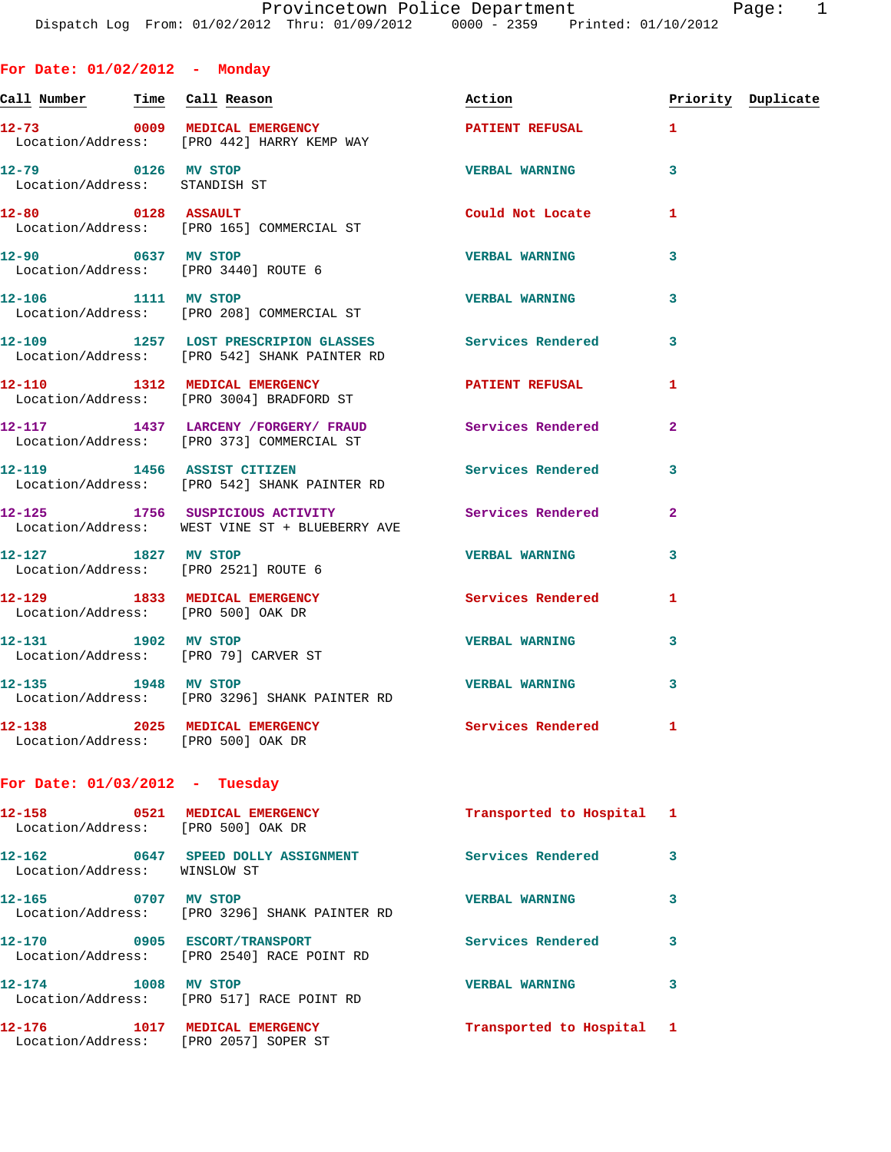**Call Number Time Call Reason Action Priority Duplicate**

**12-73 0009 MEDICAL EMERGENCY PATIENT REFUSAL 1** 

**For Date: 01/02/2012 - Monday**

 Location/Address: [PRO 442] HARRY KEMP WAY **12-79 0126 MV STOP VERBAL WARNING 3**  Location/Address: STANDISH ST **12-80 0128 ASSAULT Could Not Locate 1**  Location/Address: [PRO 165] COMMERCIAL ST **12-90 0637 MV STOP VERBAL WARNING 3**  Location/Address: [PRO 3440] ROUTE 6 **12-106 1111 MV STOP VERBAL WARNING 3**  Location/Address: [PRO 208] COMMERCIAL ST **12-109 1257 LOST PRESCRIPION GLASSES Services Rendered 3**  Location/Address: [PRO 542] SHANK PAINTER RD **12-110 1312 MEDICAL EMERGENCY PATIENT REFUSAL 1**  Location/Address: [PRO 3004] BRADFORD ST **12-117 1437 LARCENY /FORGERY/ FRAUD Services Rendered 2**  Location/Address: [PRO 373] COMMERCIAL ST **12-119 1456 ASSIST CITIZEN Services Rendered 3**  Location/Address: [PRO 542] SHANK PAINTER RD **12-125 1756 SUSPICIOUS ACTIVITY Services Rendered 2**  Location/Address: WEST VINE ST + BLUEBERRY AVE **12-127 1827 MV STOP VERBAL WARNING 3**  Location/Address: [PRO 2521] ROUTE 6 **12-129 1833 MEDICAL EMERGENCY Services Rendered 1**  Location/Address: [PRO 500] OAK DR **12-131 1902 MV STOP VERBAL WARNING 3**  Location/Address: [PRO 79] CARVER ST **12-135 1948 MV STOP VERBAL WARNING 3**  Location/Address: [PRO 3296] SHANK PAINTER RD **12-138 2025 MEDICAL EMERGENCY Services Rendered 1**  Location/Address: [PRO 500] OAK DR **For Date: 01/03/2012 - Tuesday 12-158 0521 MEDICAL EMERGENCY Transported to Hospital 1**  Location/Address: [PRO 500] OAK DR **12-162 0647 SPEED DOLLY ASSIGNMENT Services Rendered 3** 

 Location/Address: WINSLOW ST **12-165 0707 MV STOP VERBAL WARNING 3**  Location/Address: [PRO 3296] SHANK PAINTER RD **12-170 0905 ESCORT/TRANSPORT Services Rendered 3**  Location/Address: [PRO 2540] RACE POINT RD **12-174 1008 MV STOP VERBAL WARNING 3**  Location/Address: [PRO 517] RACE POINT RD **12-176 1017 MEDICAL EMERGENCY Transported to Hospital 1**  Location/Address: [PRO 2057] SOPER ST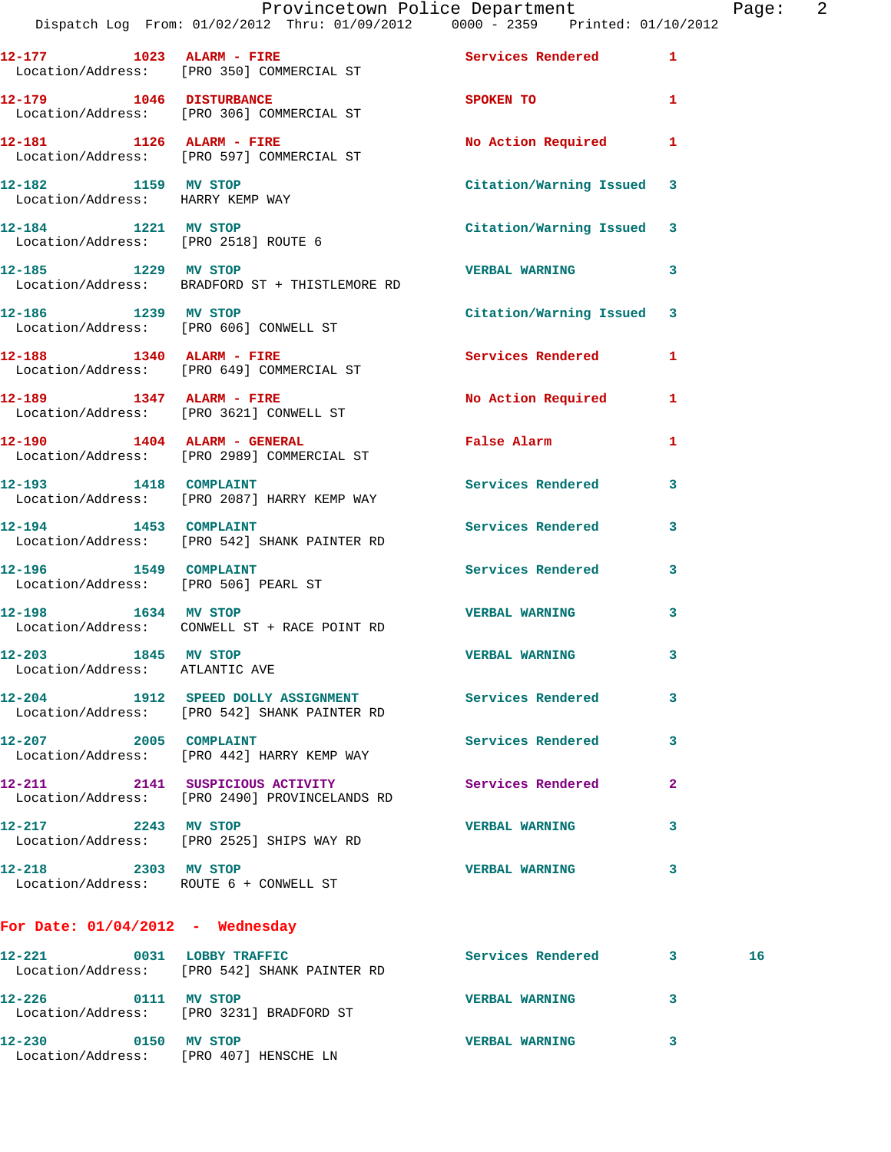|                                                       | Provincetown Police Department<br>Dispatch Log From: 01/02/2012 Thru: 01/09/2012   0000 - 2359   Printed: 01/10/2012 |                                                                                                                |              | Page: 2 |  |
|-------------------------------------------------------|----------------------------------------------------------------------------------------------------------------------|----------------------------------------------------------------------------------------------------------------|--------------|---------|--|
|                                                       | 12-177 1023 ALARM - FIRE Services Rendered 1<br>Location/Address: [PRO 350] COMMERCIAL ST                            |                                                                                                                |              |         |  |
|                                                       | 12-179 1046 DISTURBANCE<br>Location/Address: [PRO 306] COMMERCIAL ST                                                 | SPOKEN TO AND THE SPOKEN OF THE SPOKEN OF THE SPOKEN OF THE SPOKEN OF THE SPOKEN OF THE SPOKEN OF THE SPOKEN O | $\mathbf{1}$ |         |  |
|                                                       | 12-181 1126 ALARM - FIRE No Action Required 1<br>Location/Address: [PRO 597] COMMERCIAL ST                           |                                                                                                                |              |         |  |
|                                                       | 12-182 1159 MV STOP<br>Location/Address: HARRY KEMP WAY                                                              | Citation/Warning Issued 3                                                                                      |              |         |  |
|                                                       | 12-184 1221 MV STOP<br>Location/Address: [PRO 2518] ROUTE 6                                                          | Citation/Warning Issued 3                                                                                      |              |         |  |
| 12-185 1229 MV STOP                                   | Location/Address: BRADFORD ST + THISTLEMORE RD                                                                       | VERBAL WARNING 3                                                                                               |              |         |  |
|                                                       | 12-186 1239 MV STOP<br>Location/Address: [PRO 606] CONWELL ST                                                        | Citation/Warning Issued 3                                                                                      |              |         |  |
|                                                       | 12-188 1340 ALARM - FIRE<br>Location/Address: [PRO 649] COMMERCIAL ST                                                | Services Rendered 1                                                                                            |              |         |  |
|                                                       | 12-189 1347 ALARM - FIRE<br>Location/Address: [PRO 3621] CONWELL ST                                                  | No Action Required 1                                                                                           |              |         |  |
|                                                       | 12-190 1404 ALARM - GENERAL False Alarm<br>Location/Address: [PRO 2989] COMMERCIAL ST                                |                                                                                                                | $\mathbf{1}$ |         |  |
|                                                       | 12-193 1418 COMPLAINT<br>Location/Address: [PRO 2087] HARRY KEMP WAY                                                 | Services Rendered 3                                                                                            |              |         |  |
| 12-194 1453 COMPLAINT                                 | Location/Address: [PRO 542] SHANK PAINTER RD                                                                         | Services Rendered 3                                                                                            |              |         |  |
|                                                       | 12-196 1549 COMPLAINT<br>Location/Address: [PRO 506] PEARL ST                                                        | Services Rendered 3                                                                                            |              |         |  |
| 12-198 1634 MV STOP                                   | Location/Address: CONWELL ST + RACE POINT RD                                                                         | <b>VERBAL WARNING</b>                                                                                          | 3            |         |  |
| 12-203 1845 MV STOP<br>Location/Address: ATLANTIC AVE |                                                                                                                      | <b>VERBAL WARNING</b>                                                                                          | 3            |         |  |
|                                                       | 12-204 1912 SPEED DOLLY ASSIGNMENT<br>Location/Address: [PRO 542] SHANK PAINTER RD                                   | Services Rendered 3                                                                                            |              |         |  |
|                                                       | 12-207 2005 COMPLAINT<br>Location/Address: [PRO 442] HARRY KEMP WAY                                                  | Services Rendered                                                                                              | $\mathbf{3}$ |         |  |
|                                                       | 12-211 2141 SUSPICIOUS ACTIVITY<br>Location/Address: [PRO 2490] PROVINCELANDS RD                                     | <b>Services Rendered 22</b>                                                                                    |              |         |  |
| 12-217 2243 MV STOP                                   | Location/Address: [PRO 2525] SHIPS WAY RD                                                                            | <b>VERBAL WARNING</b>                                                                                          | 3            |         |  |
| 12-218 2303 MV STOP                                   | Location/Address: ROUTE 6 + CONWELL ST                                                                               | <b>VERBAL WARNING</b>                                                                                          | 3            |         |  |
| For Date: $01/04/2012$ - Wednesday                    |                                                                                                                      |                                                                                                                |              |         |  |
| 12-221                                                | 0031 LOBBY TRAFFIC<br>Location/Address: [PRO 542] SHANK PAINTER RD                                                   | Services Rendered 3                                                                                            |              | 16      |  |
| 12-226 0111 MV STOP                                   | Location/Address: [PRO 3231] BRADFORD ST                                                                             | <b>VERBAL WARNING</b>                                                                                          | 3            |         |  |

**12-230 0150 MV STOP VERBAL WARNING 3**  Location/Address: [PRO 407] HENSCHE LN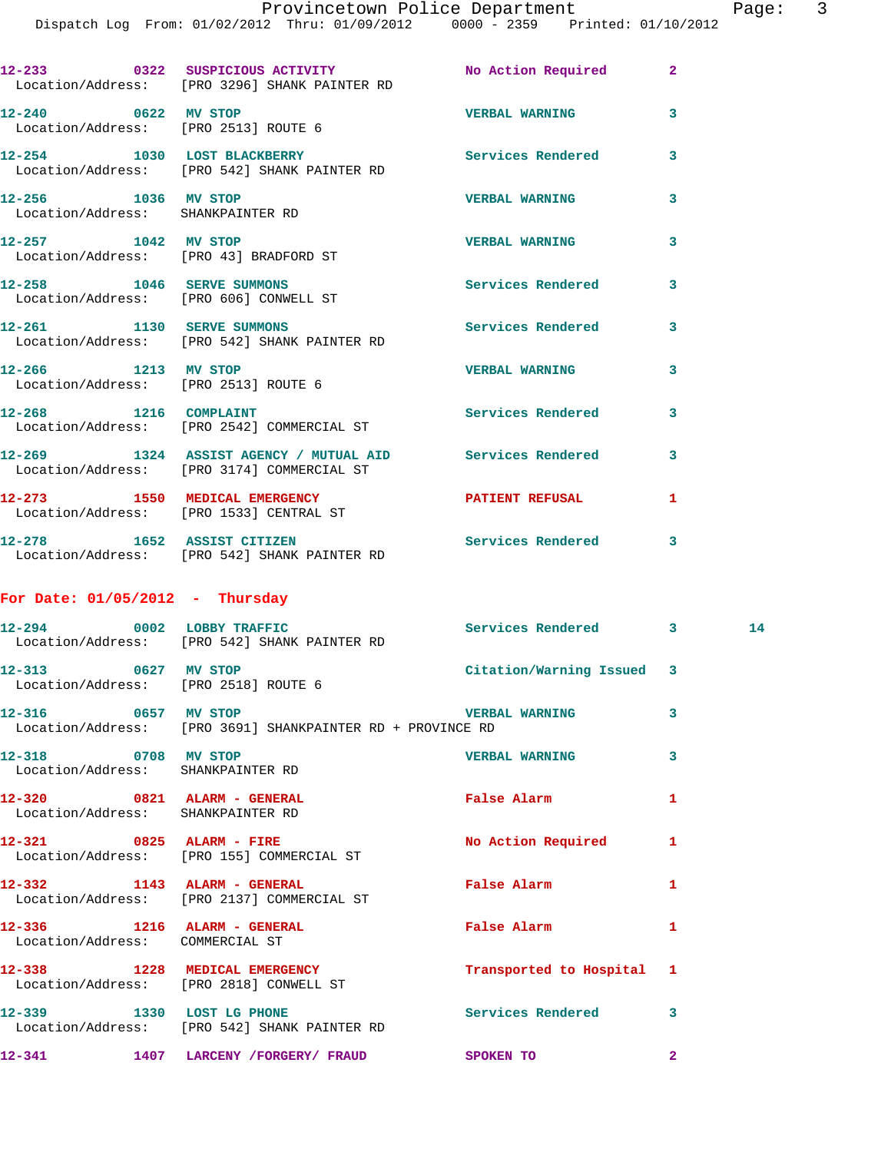|                                                                     | 12-233        0322   SUSPICIOUS ACTIVITY          No Action Required<br>Location/Address: [PRO 3296] SHANK PAINTER RD |                          | $\overline{2}$          |
|---------------------------------------------------------------------|-----------------------------------------------------------------------------------------------------------------------|--------------------------|-------------------------|
| 12-240 0622 MV STOP<br>Location/Address: [PRO 2513] ROUTE 6         |                                                                                                                       | <b>VERBAL WARNING</b>    | $\overline{\mathbf{3}}$ |
|                                                                     | 12-254 1030 LOST BLACKBERRY<br>Location/Address: [PRO 542] SHANK PAINTER RD                                           | <b>Services Rendered</b> | 3                       |
| 12-256 1036 MV STOP<br>Location/Address: SHANKPAINTER RD            |                                                                                                                       | <b>VERBAL WARNING</b>    | 3                       |
| 12-257 1042 MV STOP<br>Location/Address: [PRO 43] BRADFORD ST       |                                                                                                                       | <b>VERBAL WARNING</b>    | 3                       |
| 12-258 1046 SERVE SUMMONS<br>Location/Address: [PRO 606] CONWELL ST |                                                                                                                       | <b>Services Rendered</b> | $\overline{\mathbf{3}}$ |
|                                                                     | 12-261 1130 SERVE SUMMONS<br>Location/Address: [PRO 542] SHANK PAINTER RD                                             | <b>Services Rendered</b> | 3                       |
| 12-266 1213 MV STOP<br>Location/Address: [PRO 2513] ROUTE 6         |                                                                                                                       | <b>VERBAL WARNING</b>    | $\overline{3}$          |
| 12-268 1216 COMPLAINT                                               | Location/Address: [PRO 2542] COMMERCIAL ST                                                                            | Services Rendered        | $\overline{\mathbf{3}}$ |
|                                                                     | 12-269 1324 ASSIST AGENCY / MUTUAL AID<br>Location/Address: [PRO 3174] COMMERCIAL ST                                  | Services Rendered        | 3                       |
| 12-273 1550 MEDICAL EMERGENCY                                       | Location/Address: [PRO 1533] CENTRAL ST                                                                               | <b>PATIENT REFUSAL</b>   | 1                       |
|                                                                     | 12-278 1652 ASSIST CITIZEN<br>Location/Address: [PRO 542] SHANK PAINTER RD                                            | Services Rendered 3      |                         |
| For Date: $01/05/2012$ - Thursday                                   |                                                                                                                       |                          |                         |
|                                                                     |                                                                                                                       |                          |                         |

|                                                                  | 12-294 0002 LOBBY TRAFFIC Services Rendered 3<br>Location/Address: [PRO 542] SHANK PAINTER RD    |                           |                | 14 |
|------------------------------------------------------------------|--------------------------------------------------------------------------------------------------|---------------------------|----------------|----|
| 12-313 0627 MV STOP<br>Location/Address: [PRO 2518] ROUTE 6      |                                                                                                  | Citation/Warning Issued 3 |                |    |
|                                                                  | Location/Address: [PRO 3691] SHANKPAINTER RD + PROVINCE RD                                       |                           | 3              |    |
| Location/Address: SHANKPAINTER RD                                | 12-318 0708 MV STOP                                                                              | <b>VERBAL WARNING</b>     | 3              |    |
| 12-320 0821 ALARM - GENERAL<br>Location/Address: SHANKPAINTER RD |                                                                                                  | <b>False Alarm</b>        | 1              |    |
|                                                                  | 12-321 0825 ALARM - FIRE<br>Location/Address: [PRO 155] COMMERCIAL ST                            | <b>No Action Required</b> | 1              |    |
|                                                                  | 12-332 1143 ALARM - GENERAL<br>Location/Address: [PRO 2137] COMMERCIAL ST                        | <b>False Alarm</b>        | 1              |    |
| 12-336 1216 ALARM - GENERAL<br>Location/Address: COMMERCIAL ST   |                                                                                                  | <b>False Alarm</b>        | 1              |    |
|                                                                  | 12-338 1228 MEDICAL EMERGENCY<br>Location/Address: [PRO 2818] CONWELL ST                         | Transported to Hospital 1 |                |    |
|                                                                  | 12-339 1330 LOST LG PHONE 2008 Services Rendered<br>Location/Address: [PRO 542] SHANK PAINTER RD |                           | 3              |    |
|                                                                  | 12-341 1407 LARCENY / FORGERY / FRAUD SPOKEN TO                                                  |                           | $\overline{2}$ |    |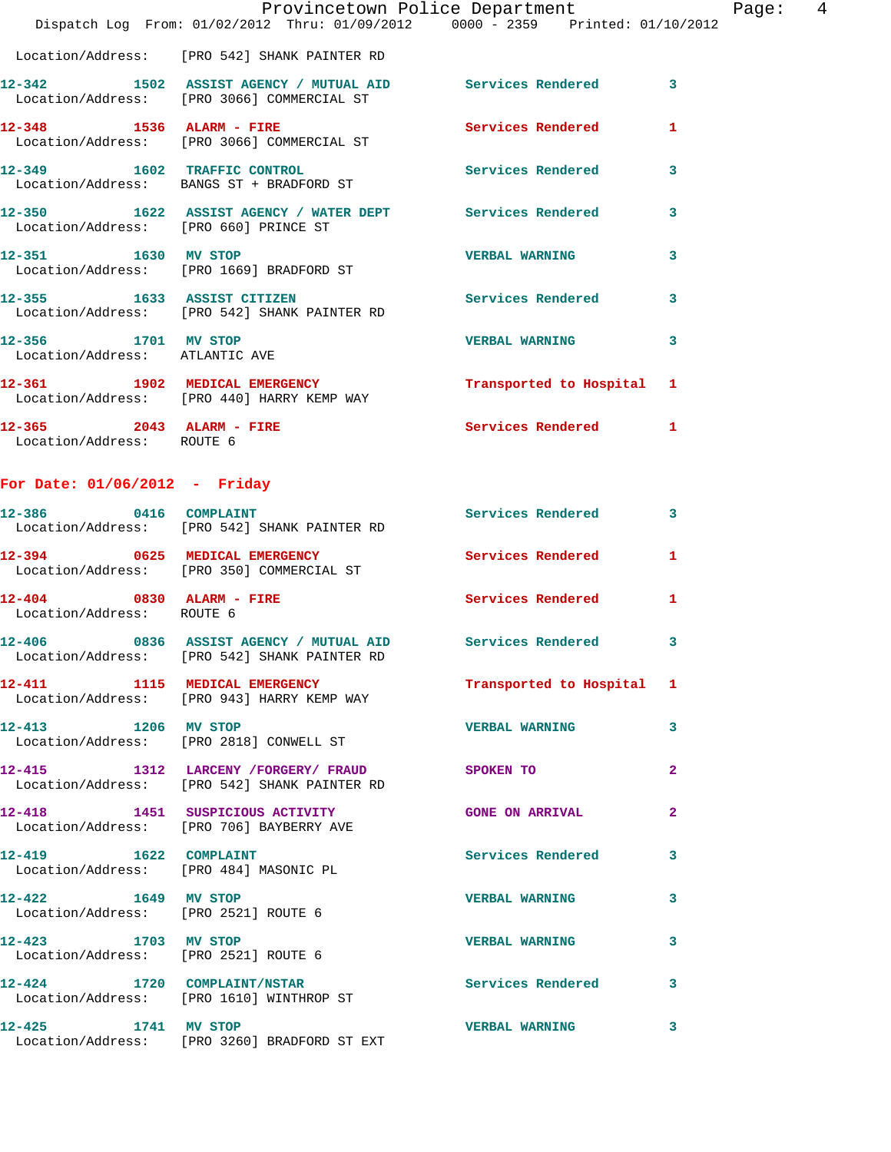|                                                       | Dispatch Log From: 01/02/2012 Thru: 01/09/2012   0000 - 2359   Printed: 01/10/2012                       | Provincetown Police Department Page: 4 |                         |
|-------------------------------------------------------|----------------------------------------------------------------------------------------------------------|----------------------------------------|-------------------------|
|                                                       | Location/Address: [PRO 542] SHANK PAINTER RD                                                             |                                        |                         |
|                                                       | 12-342 1502 ASSIST AGENCY / MUTUAL AID Services Rendered 3<br>Location/Address: [PRO 3066] COMMERCIAL ST |                                        |                         |
|                                                       | 12-348 1536 ALARM - FIRE Services Rendered<br>Location/Address: [PRO 3066] COMMERCIAL ST                 |                                        | $\mathbf{1}$            |
|                                                       | 12-349 1602 TRAFFIC CONTROL Services Rendered<br>Location/Address: BANGS ST + BRADFORD ST                |                                        | 3                       |
|                                                       | 12-350 1622 ASSIST AGENCY / WATER DEPT Services Rendered<br>Location/Address: [PRO 660] PRINCE ST        |                                        | 3                       |
|                                                       | 12-351 1630 MV STOP<br>Location/Address: [PRO 1669] BRADFORD ST                                          | <b>VERBAL WARNING</b>                  | 3                       |
|                                                       | 12-355 1633 ASSIST CITIZEN 5ervices Rendered<br>Location/Address: [PRO 542] SHANK PAINTER RD             |                                        | 3                       |
| 12-356 1701 MV STOP<br>Location/Address: ATLANTIC AVE |                                                                                                          | <b>VERBAL WARNING</b>                  | $\overline{\mathbf{3}}$ |
|                                                       | 12-361 1902 MEDICAL EMERGENCY<br>Location/Address: [PRO 440] HARRY KEMP WAY                              | Transported to Hospital 1              |                         |
| Location/Address: ROUTE 6                             | 12-365 2043 ALARM - FIRE                                                                                 | Services Rendered                      | $\mathbf{1}$            |

## **For Date: 01/06/2012 - Friday**

| 12-386 0416 COMPLAINT                                           | Location/Address: [PRO 542] SHANK PAINTER RD                                                  | Services Rendered 3        |                         |
|-----------------------------------------------------------------|-----------------------------------------------------------------------------------------------|----------------------------|-------------------------|
|                                                                 | 12-394 0625 MEDICAL EMERGENCY<br>Location/Address: [PRO 350] COMMERCIAL ST                    | <b>Services Rendered</b> 1 |                         |
| 12-404 0830 ALARM - FIRE<br>Location/Address: ROUTE 6           |                                                                                               | Services Rendered          | $\mathbf{1}$            |
|                                                                 | Location/Address: [PRO 542] SHANK PAINTER RD                                                  |                            | $\overline{\mathbf{3}}$ |
|                                                                 | 12-411 1115 MEDICAL EMERGENCY<br>Location/Address: [PRO 943] HARRY KEMP WAY                   | Transported to Hospital 1  |                         |
| 12-413 1206 MV STOP                                             | Location/Address: [PRO 2818] CONWELL ST                                                       | <b>VERBAL WARNING</b>      | $\mathbf{3}$            |
|                                                                 | 12-415 1312 LARCENY /FORGERY/ FRAUD SPOKEN TO<br>Location/Address: [PRO 542] SHANK PAINTER RD |                            | $\overline{2}$          |
|                                                                 | 12-418 1451 SUSPICIOUS ACTIVITY<br>Location/Address: [PRO 706] BAYBERRY AVE                   | <b>GONE ON ARRIVAL</b>     | $\overline{2}$          |
| 12-419 1622 COMPLAINT<br>Location/Address: [PRO 484] MASONIC PL |                                                                                               | <b>Services Rendered</b>   | 3                       |
| 12-422 1649 MV STOP<br>Location/Address: [PRO 2521] ROUTE 6     |                                                                                               | <b>VERBAL WARNING</b>      | 3                       |
| 12-423 1703 MV STOP<br>Location/Address: [PRO 2521] ROUTE 6     |                                                                                               | <b>VERBAL WARNING</b>      | $\mathbf{3}$            |
|                                                                 | 12-424 1720 COMPLAINT/NSTAR<br>Location/Address: [PRO 1610] WINTHROP ST                       | <b>Services Rendered</b>   | 3                       |
|                                                                 | 12-425 1741 MV STOP<br>Location/Address: [PRO 3260] BRADFORD ST EXT                           | <b>VERBAL WARNING</b>      | 3                       |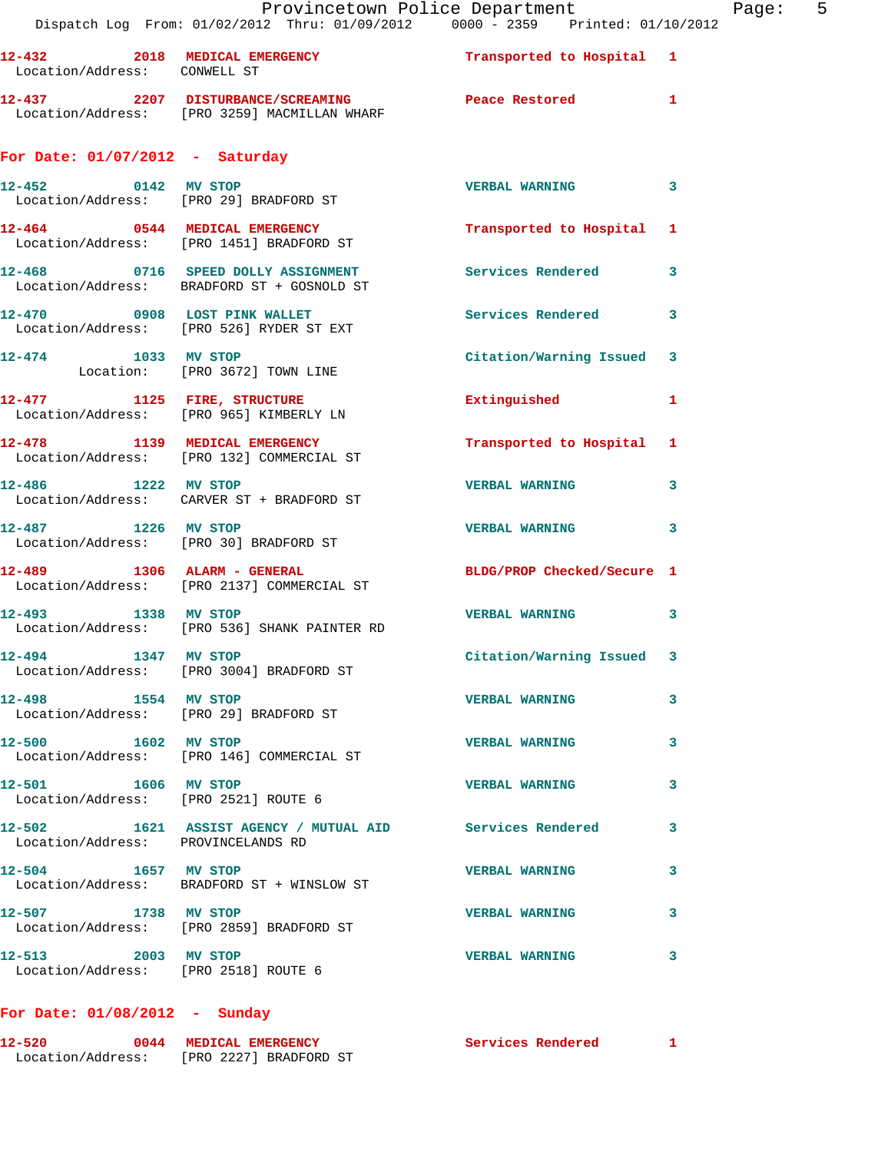| Provincetown Police Department<br>Page:<br>Dispatch Log From: 01/02/2012 Thru: 01/09/2012 0000 - 2359 Printed: 01/10/2012 |                                                                                                      |                            |   |
|---------------------------------------------------------------------------------------------------------------------------|------------------------------------------------------------------------------------------------------|----------------------------|---|
| Location/Address: CONWELL ST                                                                                              | 12-432 2018 MEDICAL EMERGENCY Transported to Hospital 1                                              |                            |   |
|                                                                                                                           | 12-437 2207 DISTURBANCE/SCREAMING Peace Restored 1<br>Location/Address: [PRO 3259] MACMILLAN WHARF   |                            |   |
| For Date: $01/07/2012$ - Saturday                                                                                         |                                                                                                      |                            |   |
|                                                                                                                           | 12-452 0142 MV STOP<br>Location/Address: [PRO 29] BRADFORD ST                                        | VERBAL WARNING 3           |   |
|                                                                                                                           | 12-464 0544 MEDICAL EMERGENCY<br>Location/Address: [PRO 1451] BRADFORD ST                            | Transported to Hospital 1  |   |
|                                                                                                                           | 12-468 0716 SPEED DOLLY ASSIGNMENT Services Rendered 3<br>Location/Address: BRADFORD ST + GOSNOLD ST |                            |   |
|                                                                                                                           | 12-470 0908 LOST PINK WALLET<br>Location/Address: [PRO 526] RYDER ST EXT                             | Services Rendered 3        |   |
|                                                                                                                           | 12-474 1033 MV STOP<br>Location: [PRO 3672] TOWN LINE                                                | Citation/Warning Issued 3  |   |
|                                                                                                                           | 12-477 1125 FIRE, STRUCTURE<br>Location/Address: [PRO 965] KIMBERLY LN                               | Extinguished 1             |   |
|                                                                                                                           |                                                                                                      | Transported to Hospital 1  |   |
|                                                                                                                           | 12-486 1222 MV STOP<br>Location/Address: CARVER ST + BRADFORD ST                                     | <b>VERBAL WARNING</b>      | 3 |
|                                                                                                                           | 12-487 1226 MV STOP<br>Location/Address: [PRO 30] BRADFORD ST                                        | VERBAL WARNING 3           |   |
|                                                                                                                           | 12-489 1306 ALARM - GENERAL<br>Location/Address: [PRO 2137] COMMERCIAL ST                            | BLDG/PROP Checked/Secure 1 |   |
|                                                                                                                           | 12-493 1338 MV STOP<br>Location/Address: [PRO 536] SHANK PAINTER RD                                  | VERBAL WARNING 3           |   |
| 12-494 1347 MV STOP                                                                                                       | Location/Address: [PRO 3004] BRADFORD ST                                                             | Citation/Warning Issued 3  |   |
| 12-498 1554 MV STOP                                                                                                       | Location/Address: [PRO 29] BRADFORD ST                                                               | <b>VERBAL WARNING</b>      | 3 |
| 12-500 1602 MV STOP                                                                                                       | Location/Address: [PRO 146] COMMERCIAL ST                                                            | <b>VERBAL WARNING</b>      | 3 |
| 12-501 1606 MV STOP<br>Location/Address: [PRO 2521] ROUTE 6                                                               |                                                                                                      | <b>VERBAL WARNING</b>      | 3 |
| Location/Address: PROVINCELANDS RD                                                                                        | 12-502 1621 ASSIST AGENCY / MUTUAL AID Services Rendered                                             |                            | 3 |
| 12-504 1657 MV STOP                                                                                                       | Location/Address: BRADFORD ST + WINSLOW ST                                                           | <b>VERBAL WARNING</b>      | 3 |
| 12-507 1738 MV STOP                                                                                                       | Location/Address: [PRO 2859] BRADFORD ST                                                             | <b>VERBAL WARNING</b>      | 3 |
| 12-513 2003 MV STOP<br>Location/Address: [PRO 2518] ROUTE 6                                                               |                                                                                                      | <b>VERBAL WARNING</b>      | 3 |
|                                                                                                                           |                                                                                                      |                            |   |

## **For Date: 01/08/2012 - Sunday**

| 12-520            | 0044 MEDICAL EMERGENCY | Services Rendered |
|-------------------|------------------------|-------------------|
| Location/Address: | [PRO 2227] BRADFORD ST |                   |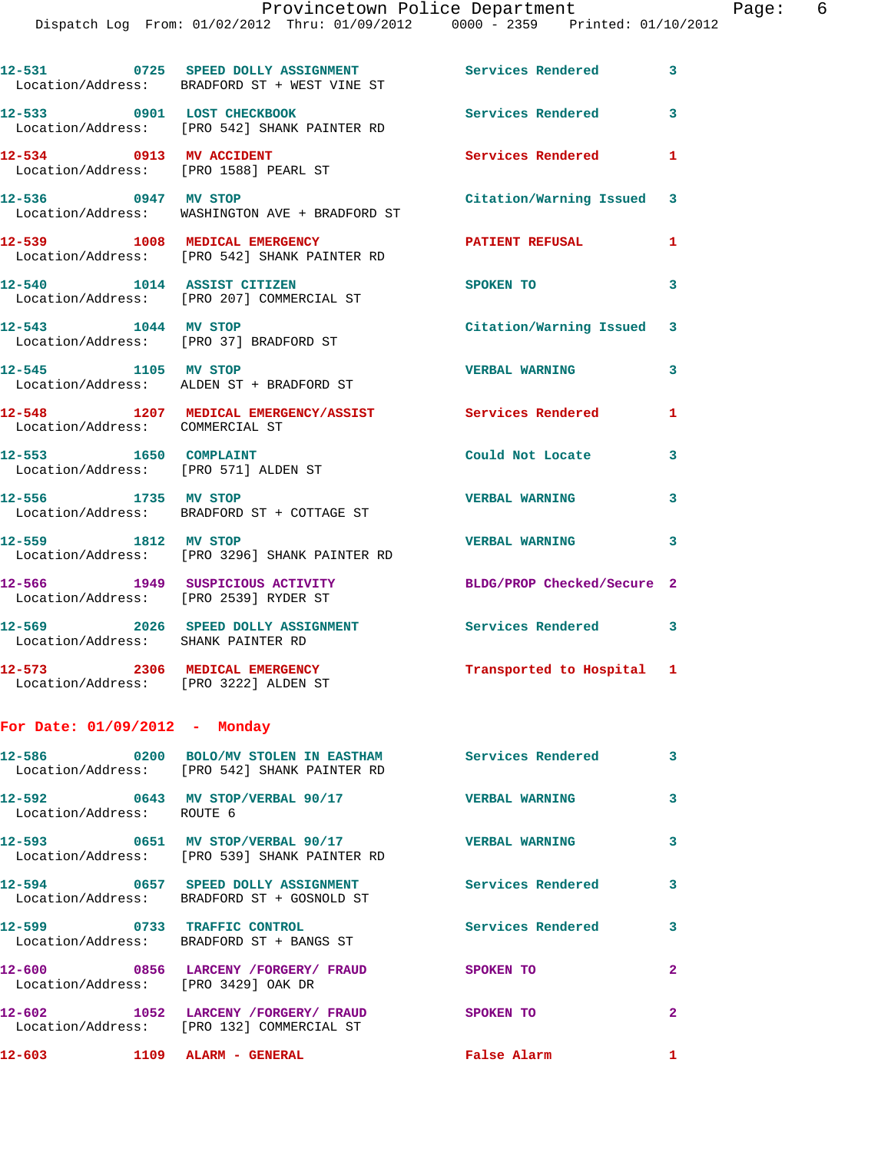|                                                                          | 12-531 0725 SPEED DOLLY ASSIGNMENT<br>Location/Address: BRADFORD ST + WEST VINE ST                                   | <b>Services Rendered</b> 3 |                         |
|--------------------------------------------------------------------------|----------------------------------------------------------------------------------------------------------------------|----------------------------|-------------------------|
| 12-533 0901 LOST CHECKBOOK                                               | Location/Address: [PRO 542] SHANK PAINTER RD                                                                         | Services Rendered          | 3                       |
| 12-534 0913 MV ACCIDENT<br>Location/Address: [PRO 1588] PEARL ST         |                                                                                                                      | Services Rendered          | 1                       |
| 12-536 0947 MV STOP                                                      | Location/Address: WASHINGTON AVE + BRADFORD ST                                                                       | Citation/Warning Issued 3  |                         |
|                                                                          | 12-539 1008 MEDICAL EMERGENCY<br>Location/Address: [PRO 542] SHANK PAINTER RD                                        | <b>PATIENT REFUSAL</b>     | 1                       |
| 12-540 1014 ASSIST CITIZEN                                               | Location/Address: [PRO 207] COMMERCIAL ST                                                                            | <b>SPOKEN TO</b>           | 3                       |
| 12-543 1044 MV STOP<br>Location/Address: [PRO 37] BRADFORD ST            |                                                                                                                      | Citation/Warning Issued 3  |                         |
| 12-545 1105 MV STOP                                                      | Location/Address: ALDEN ST + BRADFORD ST                                                                             | <b>VERBAL WARNING</b>      | 3                       |
| Location/Address: COMMERCIAL ST                                          | 12-548 1207 MEDICAL EMERGENCY/ASSIST                                                                                 | <b>Services Rendered</b>   | $\mathbf{1}$            |
| 12-553 1650 COMPLAINT<br>Location/Address: [PRO 571] ALDEN ST            |                                                                                                                      | Could Not Locate           | 3                       |
| 12-556 1735 MV STOP                                                      | Location/Address: BRADFORD ST + COTTAGE ST                                                                           | <b>VERBAL WARNING</b>      | 3                       |
| 12-559 1812 MV STOP                                                      | Location/Address: [PRO 3296] SHANK PAINTER RD                                                                        | <b>VERBAL WARNING</b>      | 3                       |
| 12-566 1949 SUSPICIOUS ACTIVITY<br>Location/Address: [PRO 2539] RYDER ST |                                                                                                                      | BLDG/PROP Checked/Secure 2 |                         |
| Location/Address: SHANK PAINTER RD                                       | 12-569 2026 SPEED DOLLY ASSIGNMENT                                                                                   | Services Rendered 3        |                         |
| 12-573<br>Location/Address: [PRO 3222] ALDEN ST                          | 2306 MEDICAL EMERGENCY                                                                                               | Transported to Hospital 1  |                         |
| For Date: $01/09/2012$ - Monday                                          |                                                                                                                      |                            |                         |
|                                                                          | 12-586       0200  BOLO/MV STOLEN IN EASTHAM       Services Rendered<br>Location/Address: [PRO 542] SHANK PAINTER RD |                            | 3                       |
| Location/Address: ROUTE 6                                                | 12-592 0643 MV STOP/VERBAL 90/17 CERBAL WARNING                                                                      |                            | 3                       |
|                                                                          | 12-593 0651 MV STOP/VERBAL 90/17<br>Location/Address: [PRO 539] SHANK PAINTER RD                                     | <b>VERBAL WARNING</b>      | 3                       |
|                                                                          | 12-594 0657 SPEED DOLLY ASSIGNMENT Services Rendered<br>Location/Address: BRADFORD ST + GOSNOLD ST                   |                            | $\overline{\mathbf{3}}$ |
|                                                                          | 12-599 0733 TRAFFIC CONTROL<br>Location/Address: BRADFORD ST + BANGS ST                                              | Services Rendered 3        |                         |
| Location/Address: [PRO 3429] OAK DR                                      | 12-600 6856 LARCENY / FORGERY / FRAUD SPOKEN TO                                                                      |                            | $\mathbf{2}$            |
| 12-602                                                                   | 1052 LARCENY / FORGERY / FRAUD SPOKEN TO<br>Location/Address: [PRO 132] COMMERCIAL ST                                |                            | $\mathbf{2}$            |
|                                                                          | 12-603 1109 ALARM - GENERAL                                                                                          | <b>False Alarm</b>         | $\mathbf{1}$            |